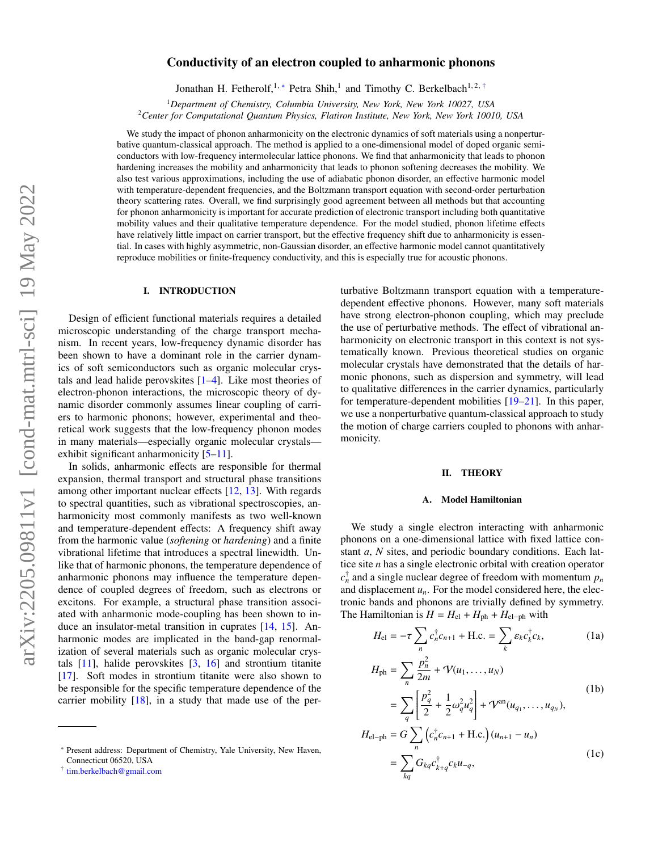# Conductivity of an electron coupled to anharmonic phonons

Jonathan H. Fetherolf,<sup>1,[∗](#page-0-0)</sup> Petra Shih,<sup>1</sup> and Timothy C. Berkelbach<sup>1,2,[†](#page-0-1)</sup>

<sup>1</sup>*Department of Chemistry, Columbia University, New York, New York 10027, USA*

<sup>2</sup>*Center for Computational Quantum Physics, Flatiron Institute, New York, New York 10010, USA*

We study the impact of phonon anharmonicity on the electronic dynamics of soft materials using a nonperturbative quantum-classical approach. The method is applied to a one-dimensional model of doped organic semiconductors with low-frequency intermolecular lattice phonons. We find that anharmonicity that leads to phonon hardening increases the mobility and anharmonicity that leads to phonon softening decreases the mobility. We also test various approximations, including the use of adiabatic phonon disorder, an effective harmonic model with temperature-dependent frequencies, and the Boltzmann transport equation with second-order perturbation theory scattering rates. Overall, we find surprisingly good agreement between all methods but that accounting for phonon anharmonicity is important for accurate prediction of electronic transport including both quantitative mobility values and their qualitative temperature dependence. For the model studied, phonon lifetime effects have relatively little impact on carrier transport, but the effective frequency shift due to anharmonicity is essential. In cases with highly asymmetric, non-Gaussian disorder, an effective harmonic model cannot quantitatively reproduce mobilities or finite-frequency conductivity, and this is especially true for acoustic phonons.

## I. INTRODUCTION

Design of efficient functional materials requires a detailed microscopic understanding of the charge transport mechanism. In recent years, low-frequency dynamic disorder has been shown to have a dominant role in the carrier dynamics of soft semiconductors such as organic molecular crystals and lead halide perovskites [\[1–](#page-7-0)[4\]](#page-7-1). Like most theories of electron-phonon interactions, the microscopic theory of dynamic disorder commonly assumes linear coupling of carriers to harmonic phonons; however, experimental and theoretical work suggests that the low-frequency phonon modes in many materials—especially organic molecular crystals exhibit significant anharmonicity  $[5-11]$  $[5-11]$ .

In solids, anharmonic effects are responsible for thermal expansion, thermal transport and structural phase transitions among other important nuclear effects [\[12,](#page-7-4) [13\]](#page-7-5). With regards to spectral quantities, such as vibrational spectroscopies, anharmonicity most commonly manifests as two well-known and temperature-dependent effects: A frequency shift away from the harmonic value (*softening* or *hardening*) and a finite vibrational lifetime that introduces a spectral linewidth. Unlike that of harmonic phonons, the temperature dependence of anharmonic phonons may influence the temperature dependence of coupled degrees of freedom, such as electrons or excitons. For example, a structural phase transition associated with anharmonic mode-coupling has been shown to induce an insulator-metal transition in cuprates [\[14,](#page-7-6) [15\]](#page-7-7). Anharmonic modes are implicated in the band-gap renormalization of several materials such as organic molecular crystals [\[11\]](#page-7-3), halide perovskites [\[3,](#page-7-8) [16\]](#page-7-9) and strontium titanite [\[17\]](#page-7-10). Soft modes in strontium titanite were also shown to be responsible for the specific temperature dependence of the carrier mobility [\[18\]](#page-7-11), in a study that made use of the perturbative Boltzmann transport equation with a temperaturedependent effective phonons. However, many soft materials have strong electron-phonon coupling, which may preclude the use of perturbative methods. The effect of vibrational anharmonicity on electronic transport in this context is not systematically known. Previous theoretical studies on organic molecular crystals have demonstrated that the details of harmonic phonons, such as dispersion and symmetry, will lead to qualitative differences in the carrier dynamics, particularly for temperature-dependent mobilities [\[19](#page-7-12)[–21\]](#page-7-13). In this paper, we use a nonperturbative quantum-classical approach to study the motion of charge carriers coupled to phonons with anharmonicity.

## <span id="page-0-4"></span>II. THEORY

### <span id="page-0-2"></span>A. Model Hamiltonian

We study a single electron interacting with anharmonic phonons on a one-dimensional lattice with fixed lattice constant *a*, *N* sites, and periodic boundary conditions. Each lattice site *n* has a single electronic orbital with creation operator  $c_n^{\dagger}$  and a single nuclear degree of freedom with momentum  $p_n$ and displacement  $u_n$ . For the model considered here, the electronic bands and phonons are trivially defined by symmetry. The Hamiltonian is  $H = H_{el} + H_{ph} + H_{el-ph}$  with

$$
H_{\rm el} = -\tau \sum_{n} c_n^{\dagger} c_{n+1} + \text{H.c.} = \sum_{k} \varepsilon_k c_k^{\dagger} c_k, \qquad (1a)
$$

<span id="page-0-3"></span>
$$
H_{\text{ph}} = \sum_{n} \frac{p_n^2}{2m} + \mathcal{V}(u_1, ..., u_N)
$$
  
\n
$$
= \sum_{q} \left[ \frac{p_q^2}{2} + \frac{1}{2} \omega_q^2 u_q^2 \right] + \mathcal{V}^{\text{an}}(u_{q_1}, ..., u_{q_N}),
$$
  
\n
$$
H_{\text{el-ph}} = G \sum_{n} \left( c_n^{\dagger} c_{n+1} + \text{H.c.} \right) (u_{n+1} - u_n)
$$
  
\n
$$
= \sum_{kq} G_{kq} c_{k+q}^{\dagger} c_k u_{-q},
$$
\n(1c)

<span id="page-0-0"></span><sup>∗</sup> Present address: Department of Chemistry, Yale University, New Haven, Connecticut 06520, USA

<span id="page-0-1"></span><sup>†</sup> [tim.berkelbach@gmail.com](mailto:tim.berkelbach@gmail.com)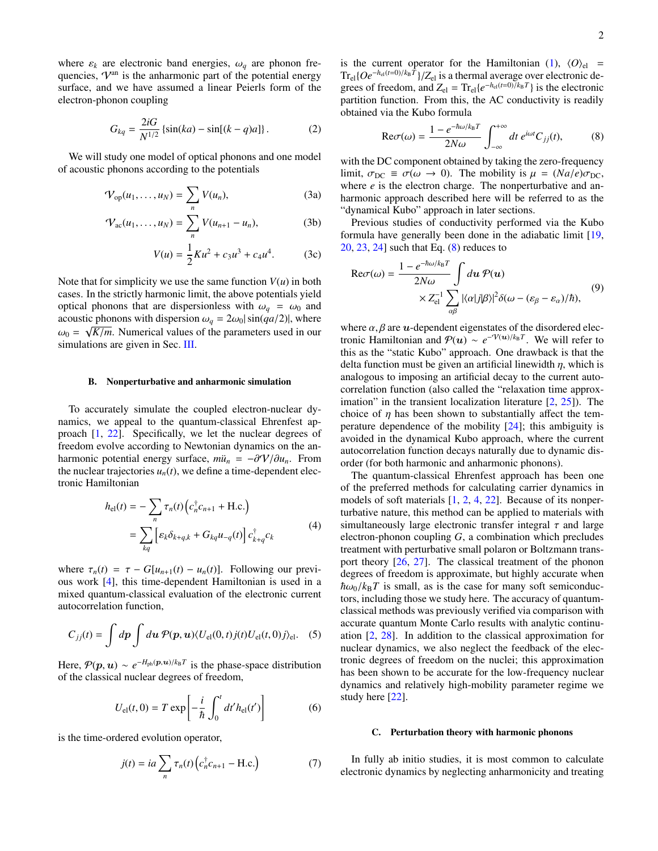where  $\varepsilon_k$  are electronic band energies,  $\omega_q$  are phonon frequencies,  $V<sup>an</sup>$  is the anharmonic part of the potential energy surface, and we have assumed a linear Peierls form of the electron-phonon coupling

$$
G_{kq} = \frac{2iG}{N^{1/2}} \left\{ \sin(ka) - \sin[(k-q)a] \right\}.
$$
 (2)

We will study one model of optical phonons and one model of acoustic phonons according to the potentials

$$
\mathcal{V}_{\text{op}}(u_1,\ldots,u_N)=\sum_n V(u_n),\tag{3a}
$$

$$
\mathcal{V}_{ac}(u_1, ..., u_N) = \sum_{n} V(u_{n+1} - u_n),
$$
 (3b)

$$
V(u) = \frac{1}{2}Ku^2 + c_3u^3 + c_4u^4.
$$
 (3c)

Note that for simplicity we use the same function  $V(u)$  in both cases. In the strictly harmonic limit, the above potentials yield optical phonons that are dispersionless with  $\omega_q = \omega_0$  and acoustic phonons with dispersion  $\omega_q = 2\omega_0 |\sin(qa/2)|$ , where  $\omega_0 = \sqrt{K/m}$ . Numerical values of the parameters used in our simulations are given in Sec. [III.](#page-2-0)

#### B. Nonperturbative and anharmonic simulation

To accurately simulate the coupled electron-nuclear dynamics, we appeal to the quantum-classical Ehrenfest approach [\[1,](#page-7-0) [22\]](#page-7-14). Specifically, we let the nuclear degrees of freedom evolve according to Newtonian dynamics on the anharmonic potential energy surface,  $m\ddot{u}_n = -\partial \mathcal{V}/\partial u_n$ . From the nuclear trajectories  $u_n(t)$ , we define a time-dependent electronic Hamiltonian

$$
h_{\text{el}}(t) = -\sum_{n} \tau_n(t) \left( c_n^{\dagger} c_{n+1} + \text{H.c.} \right)
$$
  
= 
$$
\sum_{kq} \left[ \varepsilon_k \delta_{k+q,k} + G_{kq} u_{-q}(t) \right] c_{k+q}^{\dagger} c_k
$$
 (4)

where  $\tau_n(t) = \tau - G[u_{n+1}(t) - u_n(t)]$ . Following our previous work [\[4\]](#page-7-1), this time-dependent Hamiltonian is used in a mixed quantum-classical evaluation of the electronic current autocorrelation function,

$$
C_{jj}(t) = \int dp \int du \, \mathcal{P}(p, u) \langle U_{\rm el}(0, t) j(t) U_{\rm el}(t, 0) j \rangle_{\rm el}.
$$
 (5)

Here,  $P(p, u) \sim e^{-H_{ph}(p, u)/k_B T}$  is the phase-space distribution of the classical nuclear degrees of freedom,

$$
U_{\rm el}(t,0) = T \exp\left[-\frac{i}{\hbar} \int_0^t dt' h_{\rm el}(t')\right]
$$
 (6)

is the time-ordered evolution operator,

$$
j(t) = ia \sum_{n} \tau_n(t) \left( c_n^{\dagger} c_{n+1} - \text{H.c.} \right) \tag{7}
$$

is the current operator for the Hamiltonian [\(1\)](#page-0-2),  $\langle O \rangle_{el}$  =  $Tr_{\text{el}}\{Oe^{-h_{\text{el}}(t=0)/k_{\text{B}}T}\}/Z_{\text{el}}$  is a thermal average over electronic degrees of freedom, and  $Z_{el} = Tr_{el} \{e^{-h_{el}(t=0)/k_B T}\}\)$  is the electronic partition function. From this, the AC conductivity is readily obtained via the Kubo formula

<span id="page-1-0"></span>
$$
\text{Re}\sigma(\omega) = \frac{1 - e^{-\hbar\omega/k_{\text{B}}T}}{2N\omega} \int_{-\infty}^{+\infty} dt \, e^{i\omega t} C_{jj}(t),\tag{8}
$$

<span id="page-1-2"></span><span id="page-1-1"></span>with the DC component obtained by taking the zero-frequency limit,  $\sigma_{DC} \equiv \sigma(\omega \to 0)$ . The mobility is  $\mu = (Na/e)\sigma_{DC}$ , where *e* is the electron charge. The nonperturbative and anharmonic approach described here will be referred to as the "dynamical Kubo" approach in later sections.

Previous studies of conductivity performed via the Kubo formula have generally been done in the adiabatic limit [\[19,](#page-7-12) [20,](#page-7-15) [23,](#page-7-16) [24\]](#page-7-17) such that Eq. [\(8\)](#page-1-0) reduces to

$$
\operatorname{Re}\sigma(\omega) = \frac{1 - e^{-\hbar\omega/k_{\mathrm{B}}T}}{2N\omega} \int d\mathbf{u} \, \mathcal{P}(\mathbf{u})
$$

$$
\times Z_{\mathrm{el}}^{-1} \sum_{\alpha\beta} |\langle \alpha|j|\beta \rangle|^2 \delta(\omega - (\varepsilon_{\beta} - \varepsilon_{\alpha})/\hbar), \tag{9}
$$

where  $\alpha$ ,  $\beta$  are  $\boldsymbol{u}$ -dependent eigenstates of the disordered electronic Hamiltonian and  $P(u) \sim e^{-V(u)/k_B T}$ . We will refer to this as the "static Kubo" approach. One drawback is that the delta function must be given an artificial linewidth  $\eta$ , which is analogous to imposing an artificial decay to the current autocorrelation function (also called the "relaxation time approximation" in the transient localization literature  $[2, 25]$  $[2, 25]$  $[2, 25]$ ). The choice of  $\eta$  has been shown to substantially affect the temperature dependence of the mobility [\[24\]](#page-7-17); this ambiguity is avoided in the dynamical Kubo approach, where the current autocorrelation function decays naturally due to dynamic disorder (for both harmonic and anharmonic phonons).

The quantum-classical Ehrenfest approach has been one of the preferred methods for calculating carrier dynamics in models of soft materials [\[1,](#page-7-0) [2,](#page-7-18) [4,](#page-7-1) [22\]](#page-7-14). Because of its nonperturbative nature, this method can be applied to materials with simultaneously large electronic transfer integral  $\tau$  and large electron-phonon coupling *G*, a combination which precludes treatment with perturbative small polaron or Boltzmann transport theory [\[26,](#page-7-20) [27\]](#page-7-21). The classical treatment of the phonon degrees of freedom is approximate, but highly accurate when  $\hbar\omega_0/k_BT$  is small, as is the case for many soft semiconductors, including those we study here. The accuracy of quantumclassical methods was previously verified via comparison with accurate quantum Monte Carlo results with analytic continuation [\[2,](#page-7-18) [28\]](#page-7-22). In addition to the classical approximation for nuclear dynamics, we also neglect the feedback of the electronic degrees of freedom on the nuclei; this approximation has been shown to be accurate for the low-frequency nuclear dynamics and relatively high-mobility parameter regime we study here [\[22\]](#page-7-14).

## C. Perturbation theory with harmonic phonons

In fully ab initio studies, it is most common to calculate electronic dynamics by neglecting anharmonicity and treating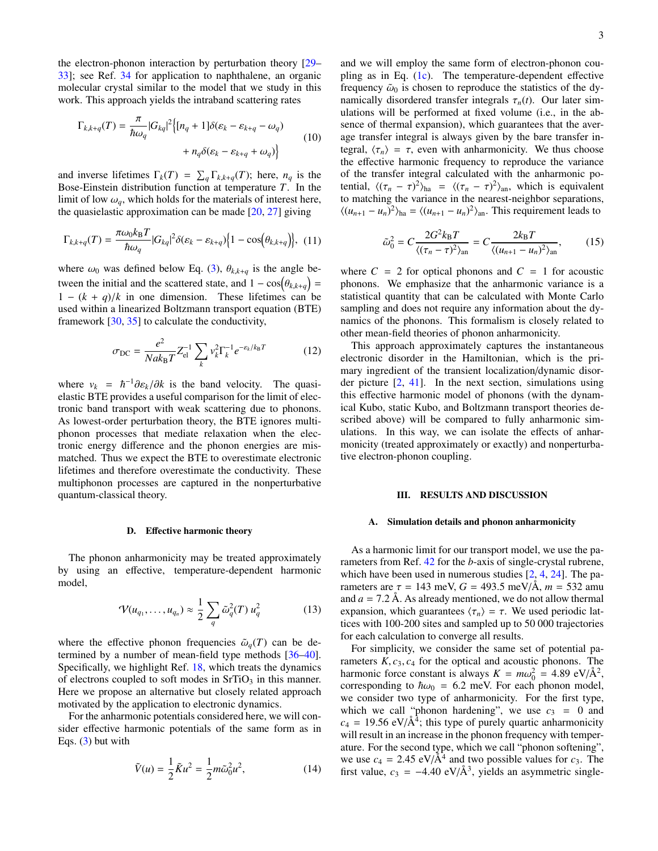the electron-phonon interaction by perturbation theory [\[29–](#page-7-23) [33\]](#page-7-24); see Ref. [34](#page-7-25) for application to naphthalene, an organic molecular crystal similar to the model that we study in this work. This approach yields the intraband scattering rates

$$
\Gamma_{k,k+q}(T) = \frac{\pi}{\hbar \omega_q} |G_{kq}|^2 \Big\{ [n_q + 1] \delta(\varepsilon_k - \varepsilon_{k+q} - \omega_q) + n_q \delta(\varepsilon_k - \varepsilon_{k+q} + \omega_q) \Big\}
$$
(10)

and inverse lifetimes  $\Gamma_k(T) = \sum_q \Gamma_{k,k+q}(T)$ ; here,  $n_q$  is the Bose-Einstein distribution function at temperature *T*. In the limit of low  $\omega_q$ , which holds for the materials of interest here, the quasielastic approximation can be made  $[20, 27]$  $[20, 27]$  $[20, 27]$  giving

$$
\Gamma_{k,k+q}(T) = \frac{\pi \omega_0 k_B T}{\hbar \omega_q} |G_{kq}|^2 \delta(\varepsilon_k - \varepsilon_{k+q}) \Big\{ 1 - \cos\Big(\theta_{k,k+q}\Big) \Big\}, \tag{11}
$$

where  $\omega_0$  was defined below Eq. [\(3\)](#page-1-1),  $\theta_{k,k+q}$  is the angle between the initial and the scattered state, and  $1 - \cos(\theta_{k,k+q}) =$  $1 - (k + q)/k$  in one dimension. These lifetimes can be used within a linearized Boltzmann transport equation (BTE) framework [\[30,](#page-7-26) [35\]](#page-7-27) to calculate the conductivity,

$$
\sigma_{\rm DC} = \frac{e^2}{Nak_{\rm B}T} Z_{\rm el}^{-1} \sum_{k} v_k^2 \Gamma_k^{-1} e^{-\epsilon_k/k_{\rm B}T}
$$
(12)

where  $v_k = \hbar^{-1} \partial \varepsilon_k / \partial k$  is the band velocity. The quasielastic BTE provides a useful comparison for the limit of electronic band transport with weak scattering due to phonons. As lowest-order perturbation theory, the BTE ignores multiphonon processes that mediate relaxation when the electronic energy difference and the phonon energies are mismatched. Thus we expect the BTE to overestimate electronic lifetimes and therefore overestimate the conductivity. These multiphonon processes are captured in the nonperturbative quantum-classical theory.

#### D. Effective harmonic theory

The phonon anharmonicity may be treated approximately by using an effective, temperature-dependent harmonic model,

$$
\mathcal{V}(u_{q_1},\ldots,u_{q_n})\approx \frac{1}{2}\sum_q \tilde{\omega}_q^2(T) u_q^2 \qquad (13)
$$

where the effective phonon frequencies  $\tilde{\omega}_q(T)$  can be determined by a number of mean-field type methods [\[36](#page-7-28)[–40\]](#page-8-0). Specifically, we highlight Ref. [18,](#page-7-11) which treats the dynamics of electrons coupled to soft modes in  $SrTiO<sub>3</sub>$  in this manner. Here we propose an alternative but closely related approach motivated by the application to electronic dynamics.

For the anharmonic potentials considered here, we will consider effective harmonic potentials of the same form as in Eqs.  $(3)$  but with

$$
\tilde{V}(u) = \frac{1}{2}\tilde{K}u^2 = \frac{1}{2}m\tilde{\omega}_0^2 u^2,
$$
\n(14)

and we will employ the same form of electron-phonon coupling as in Eq. [\(1c\)](#page-0-3). The temperature-dependent effective frequency  $\tilde{\omega}_0$  is chosen to reproduce the statistics of the dynamically disordered transfer integrals  $\tau_n(t)$ . Our later simulations will be performed at fixed volume (i.e., in the absence of thermal expansion), which guarantees that the average transfer integral is always given by the bare transfer integral,  $\langle \tau_n \rangle = \tau$ , even with anharmonicity. We thus choose the effective harmonic frequency to reproduce the variance of the transfer integral calculated with the anharmonic potential,  $\langle (\tau_n - \tau)^2 \rangle_{\text{ha}} = \langle (\tau_n - \tau)^2 \rangle_{\text{an}}$ , which is equivalent to matching the variance in the nearest-neighbor separations,  $\langle (u_{n+1} - u_n)^2 \rangle_{\text{ha}} = \langle (u_{n+1} - u_n)^2 \rangle_{\text{an}}$ . This requirement leads to

<span id="page-2-1"></span>
$$
\tilde{\omega}_0^2 = C \frac{2G^2 k_\text{B} T}{\langle (\tau_n - \tau)^2 \rangle_{\text{an}}} = C \frac{2k_\text{B} T}{\langle (u_{n+1} - u_n)^2 \rangle_{\text{an}}},\tag{15}
$$

where  $C = 2$  for optical phonons and  $C = 1$  for acoustic phonons. We emphasize that the anharmonic variance is a statistical quantity that can be calculated with Monte Carlo sampling and does not require any information about the dynamics of the phonons. This formalism is closely related to other mean-field theories of phonon anharmonicity.

This approach approximately captures the instantaneous electronic disorder in the Hamiltonian, which is the primary ingredient of the transient localization/dynamic disorder picture [\[2,](#page-7-18) [41\]](#page-8-1). In the next section, simulations using this effective harmonic model of phonons (with the dynamical Kubo, static Kubo, and Boltzmann transport theories described above) will be compared to fully anharmonic simulations. In this way, we can isolate the effects of anharmonicity (treated approximately or exactly) and nonperturbative electron-phonon coupling.

### <span id="page-2-0"></span>III. RESULTS AND DISCUSSION

#### A. Simulation details and phonon anharmonicity

As a harmonic limit for our transport model, we use the parameters from Ref. [42](#page-8-2) for the *b*-axis of single-crystal rubrene, which have been used in numerous studies [\[2,](#page-7-18) [4,](#page-7-1) [24\]](#page-7-17). The parameters are  $\tau = 143$  meV,  $G = 493.5$  meV/Å,  $m = 532$  amu and  $a = 7.2$  Å. As already mentioned, we do not allow thermal expansion, which guarantees  $\langle \tau_n \rangle = \tau$ . We used periodic lattices with 100-200 sites and sampled up to 50 000 trajectories for each calculation to converge all results.

For simplicity, we consider the same set of potential parameters  $K$ ,  $c_3$ ,  $c_4$  for the optical and acoustic phonons. The harmonic force constant is always  $K = m\omega_0^2 = 4.89 \text{ eV/A}^2$ , corresponding to  $\hbar \omega_0 = 6.2$  meV. For each phonon model, we consider two type of anharmonicity. For the first type, which we call "phonon hardening", we use  $c_3 = 0$  and  $c_4 = 19.56 \text{ eV/A}^4$ ; this type of purely quartic anharmonicity will result in an increase in the phonon frequency with temperature. For the second type, which we call "phonon softening", we use  $c_4 = 2.45 \text{ eV}/\text{\AA}^4$  and two possible values for  $c_3$ . The first value,  $c_3 = -4.40 \text{ eV/A}^3$ , yields an asymmetric single-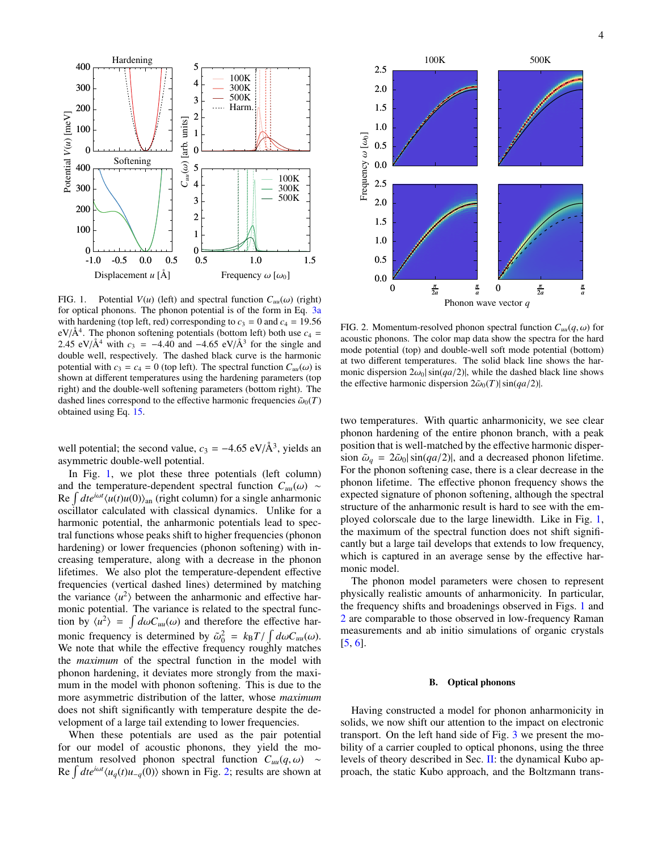

<span id="page-3-0"></span>FIG. 1. Potential  $V(u)$  (left) and spectral function  $C_{uu}(\omega)$  (right) for optical phonons. The phonon potential is of the form in Eq. [3a](#page-1-2) with hardening (top left, red) corresponding to  $c_3 = 0$  and  $c_4 = 19.56$  $eV/A<sup>4</sup>$ . The phonon softening potentials (bottom left) both use  $c_4$  = 2.45 eV/ $\AA^4$  with  $c_3 = -4.40$  and  $-4.65$  eV/ $\AA^3$  for the single and double well, respectively. The dashed black curve is the harmonic potential with  $c_3 = c_4 = 0$  (top left). The spectral function  $C_{uu}(\omega)$  is shown at different temperatures using the hardening parameters (top right) and the double-well softening parameters (bottom right). The dashed lines correspond to the effective harmonic frequencies  $\tilde{\omega}_0(T)$ obtained using Eq. [15.](#page-2-1)

well potential; the second value,  $c_3 = -4.65 \text{ eV/A}^3$ , yields an asymmetric double-well potential.

In Fig. [1,](#page-3-0) we plot these three potentials (left column) and the temperature-dependent spectral function  $C_{uu}(\omega) \sim$  $\text{Re} \int dt e^{i\omega t} \langle u(t)u(0) \rangle_{\text{an}}$  (right column) for a single anharmonic oscillator calculated with classical dynamics. Unlike for a harmonic potential, the anharmonic potentials lead to spectral functions whose peaks shift to higher frequencies (phonon hardening) or lower frequencies (phonon softening) with increasing temperature, along with a decrease in the phonon lifetimes. We also plot the temperature-dependent effective frequencies (vertical dashed lines) determined by matching the variance  $\langle u^2 \rangle$  between the anharmonic and effective harmonic potential. The variance is related to the spectral function by  $\langle u^2 \rangle = \int d\omega C_{uu}(\omega)$  and therefore the effective harmonic frequency is determined by  $\tilde{\omega}_0^2 = k_B T / \int d\omega C_{uu}(\omega)$ . We note that while the effective frequency roughly matches the *maximum* of the spectral function in the model with phonon hardening, it deviates more strongly from the maximum in the model with phonon softening. This is due to the more asymmetric distribution of the latter, whose *maximum* does not shift significantly with temperature despite the development of a large tail extending to lower frequencies.

When these potentials are used as the pair potential for our model of acoustic phonons, they yield the momentum resolved phonon spectral function  $C_{uu}(q,\omega) \sim$ Re  $\int dt e^{i\omega t} \langle u_q(t)u_{-q}(0) \rangle$  shown in Fig. [2;](#page-3-1) results are shown at



<span id="page-3-1"></span>FIG. 2. Momentum-resolved phonon spectral function  $C_{uu}(q,\omega)$  for acoustic phonons. The color map data show the spectra for the hard mode potential (top) and double-well soft mode potential (bottom) at two different temperatures. The solid black line shows the harmonic dispersion  $2\omega_0|\sin(qa/2)|$ , while the dashed black line shows the effective harmonic dispersion  $2\tilde{\omega}_0(T)|\sin(qa/2)|$ .

two temperatures. With quartic anharmonicity, we see clear phonon hardening of the entire phonon branch, with a peak position that is well-matched by the effective harmonic dispersion  $\tilde{\omega}_q = 2\tilde{\omega}_0 |\sin(qa/2)|$ , and a decreased phonon lifetime. For the phonon softening case, there is a clear decrease in the phonon lifetime. The effective phonon frequency shows the expected signature of phonon softening, although the spectral structure of the anharmonic result is hard to see with the employed colorscale due to the large linewidth. Like in Fig. [1,](#page-3-0) the maximum of the spectral function does not shift significantly but a large tail develops that extends to low frequency, which is captured in an average sense by the effective harmonic model.

The phonon model parameters were chosen to represent physically realistic amounts of anharmonicity. In particular, the frequency shifts and broadenings observed in Figs. [1](#page-3-0) and [2](#page-3-1) are comparable to those observed in low-frequency Raman measurements and ab initio simulations of organic crystals [\[5,](#page-7-2) [6\]](#page-7-29).

### B. Optical phonons

Having constructed a model for phonon anharmonicity in solids, we now shift our attention to the impact on electronic transport. On the left hand side of Fig. [3](#page-4-0) we present the mobility of a carrier coupled to optical phonons, using the three levels of theory described in Sec. [II:](#page-0-4) the dynamical Kubo approach, the static Kubo approach, and the Boltzmann trans-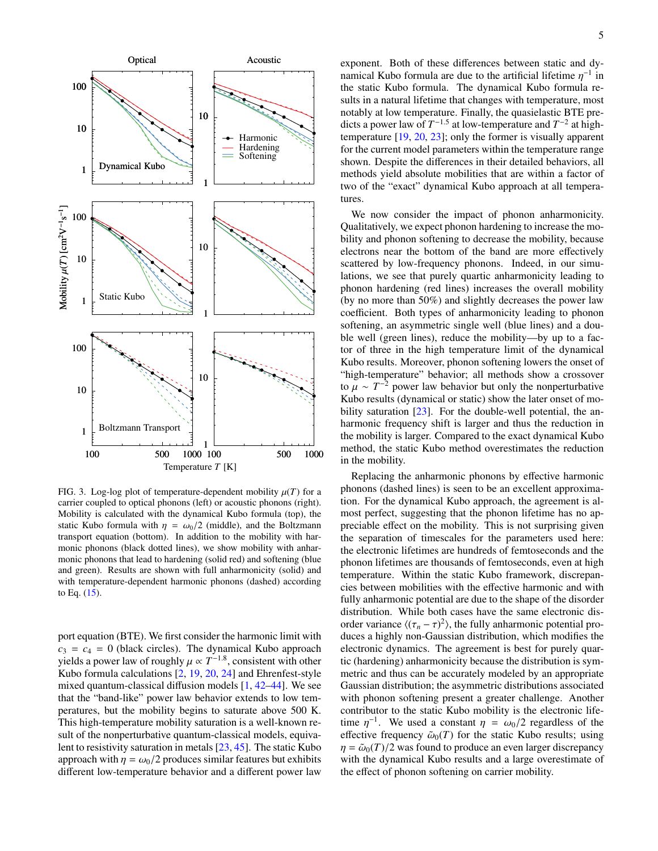

<span id="page-4-0"></span>FIG. 3. Log-log plot of temperature-dependent mobility  $\mu(T)$  for a carrier coupled to optical phonons (left) or acoustic phonons (right). Mobility is calculated with the dynamical Kubo formula (top), the static Kubo formula with  $\eta = \omega_0/2$  (middle), and the Boltzmann transport equation (bottom). In addition to the mobility with harmonic phonons (black dotted lines), we show mobility with anharmonic phonons that lead to hardening (solid red) and softening (blue and green). Results are shown with full anharmonicity (solid) and with temperature-dependent harmonic phonons (dashed) according to Eq. [\(15\)](#page-2-1).

port equation (BTE). We first consider the harmonic limit with  $c_3 = c_4 = 0$  (black circles). The dynamical Kubo approach yields a power law of roughly  $\mu \propto T^{-1.8}$ , consistent with other Kubo formula calculations [\[2,](#page-7-18) [19,](#page-7-12) [20,](#page-7-15) [24\]](#page-7-17) and Ehrenfest-style mixed quantum-classical diffusion models [\[1,](#page-7-0) [42](#page-8-2)[–44\]](#page-8-3). We see that the "band-like" power law behavior extends to low temperatures, but the mobility begins to saturate above 500 K. This high-temperature mobility saturation is a well-known result of the nonperturbative quantum-classical models, equivalent to resistivity saturation in metals [\[23,](#page-7-16) [45\]](#page-8-4). The static Kubo approach with  $\eta = \omega_0/2$  produces similar features but exhibits different low-temperature behavior and a different power law

exponent. Both of these differences between static and dynamical Kubo formula are due to the artificial lifetime  $\eta^{-1}$  in the static Kubo formula. The dynamical Kubo formula results in a natural lifetime that changes with temperature, most notably at low temperature. Finally, the quasielastic BTE predicts a power law of  $T^{-1.5}$  at low-temperature and  $T^{-2}$  at hightemperature [\[19,](#page-7-12) [20,](#page-7-15) [23\]](#page-7-16); only the former is visually apparent for the current model parameters within the temperature range shown. Despite the differences in their detailed behaviors, all methods yield absolute mobilities that are within a factor of two of the "exact" dynamical Kubo approach at all temperatures.

We now consider the impact of phonon anharmonicity. Qualitatively, we expect phonon hardening to increase the mobility and phonon softening to decrease the mobility, because electrons near the bottom of the band are more effectively scattered by low-frequency phonons. Indeed, in our simulations, we see that purely quartic anharmonicity leading to phonon hardening (red lines) increases the overall mobility (by no more than 50%) and slightly decreases the power law coefficient. Both types of anharmonicity leading to phonon softening, an asymmetric single well (blue lines) and a double well (green lines), reduce the mobility—by up to a factor of three in the high temperature limit of the dynamical Kubo results. Moreover, phonon softening lowers the onset of "high-temperature" behavior; all methods show a crossover to  $\mu \sim T^{-2}$  power law behavior but only the nonperturbative Kubo results (dynamical or static) show the later onset of mobility saturation  $[23]$ . For the double-well potential, the anharmonic frequency shift is larger and thus the reduction in the mobility is larger. Compared to the exact dynamical Kubo method, the static Kubo method overestimates the reduction in the mobility.

Replacing the anharmonic phonons by effective harmonic phonons (dashed lines) is seen to be an excellent approximation. For the dynamical Kubo approach, the agreement is almost perfect, suggesting that the phonon lifetime has no appreciable effect on the mobility. This is not surprising given the separation of timescales for the parameters used here: the electronic lifetimes are hundreds of femtoseconds and the phonon lifetimes are thousands of femtoseconds, even at high temperature. Within the static Kubo framework, discrepancies between mobilities with the effective harmonic and with fully anharmonic potential are due to the shape of the disorder distribution. While both cases have the same electronic disorder variance  $\langle (\tau_n - \tau)^2 \rangle$ , the fully anharmonic potential produces a highly non-Gaussian distribution, which modifies the electronic dynamics. The agreement is best for purely quartic (hardening) anharmonicity because the distribution is symmetric and thus can be accurately modeled by an appropriate Gaussian distribution; the asymmetric distributions associated with phonon softening present a greater challenge. Another contributor to the static Kubo mobility is the electronic lifetime  $\eta^{-1}$ . We used a constant  $\eta = \omega_0/2$  regardless of the effective frequency  $\tilde{\omega}_0(T)$  for the static Kubo results; using  $\eta = \tilde{\omega}_0(T)/2$  was found to produce an even larger discrepancy with the dynamical Kubo results and a large overestimate of the effect of phonon softening on carrier mobility.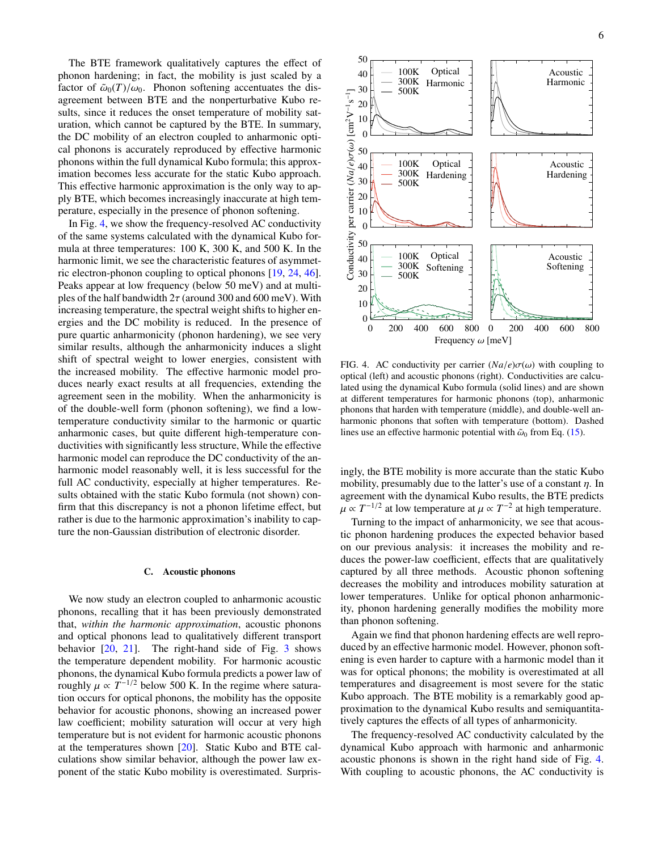The BTE framework qualitatively captures the effect of phonon hardening; in fact, the mobility is just scaled by a factor of  $\tilde{\omega}_0(T)/\omega_0$ . Phonon softening accentuates the disagreement between BTE and the nonperturbative Kubo results, since it reduces the onset temperature of mobility saturation, which cannot be captured by the BTE. In summary, the DC mobility of an electron coupled to anharmonic optical phonons is accurately reproduced by effective harmonic phonons within the full dynamical Kubo formula; this approximation becomes less accurate for the static Kubo approach. This effective harmonic approximation is the only way to apply BTE, which becomes increasingly inaccurate at high temperature, especially in the presence of phonon softening.

In Fig. [4,](#page-5-0) we show the frequency-resolved AC conductivity of the same systems calculated with the dynamical Kubo formula at three temperatures: 100 K, 300 K, and 500 K. In the harmonic limit, we see the characteristic features of asymmetric electron-phonon coupling to optical phonons [\[19,](#page-7-12) [24,](#page-7-17) [46\]](#page-8-5). Peaks appear at low frequency (below 50 meV) and at multiples of the half bandwidth  $2\tau$  (around 300 and 600 meV). With increasing temperature, the spectral weight shifts to higher energies and the DC mobility is reduced. In the presence of pure quartic anharmonicity (phonon hardening), we see very similar results, although the anharmonicity induces a slight shift of spectral weight to lower energies, consistent with the increased mobility. The effective harmonic model produces nearly exact results at all frequencies, extending the agreement seen in the mobility. When the anharmonicity is of the double-well form (phonon softening), we find a lowtemperature conductivity similar to the harmonic or quartic anharmonic cases, but quite different high-temperature conductivities with significantly less structure, While the effective harmonic model can reproduce the DC conductivity of the anharmonic model reasonably well, it is less successful for the full AC conductivity, especially at higher temperatures. Results obtained with the static Kubo formula (not shown) confirm that this discrepancy is not a phonon lifetime effect, but rather is due to the harmonic approximation's inability to capture the non-Gaussian distribution of electronic disorder.

### C. Acoustic phonons

We now study an electron coupled to anharmonic acoustic phonons, recalling that it has been previously demonstrated that, *within the harmonic approximation*, acoustic phonons and optical phonons lead to qualitatively different transport behavior  $[20, 21]$  $[20, 21]$  $[20, 21]$ . The right-hand side of Fig. [3](#page-4-0) shows the temperature dependent mobility. For harmonic acoustic phonons, the dynamical Kubo formula predicts a power law of roughly  $\mu \propto T^{-1/2}$  below 500 K. In the regime where saturation occurs for optical phonons, the mobility has the opposite behavior for acoustic phonons, showing an increased power law coefficient; mobility saturation will occur at very high temperature but is not evident for harmonic acoustic phonons at the temperatures shown [\[20\]](#page-7-15). Static Kubo and BTE calculations show similar behavior, although the power law exponent of the static Kubo mobility is overestimated. Surpris-



<span id="page-5-0"></span>FIG. 4. AC conductivity per carrier  $(Na/e)\sigma(\omega)$  with coupling to optical (left) and acoustic phonons (right). Conductivities are calculated using the dynamical Kubo formula (solid lines) and are shown at different temperatures for harmonic phonons (top), anharmonic phonons that harden with temperature (middle), and double-well anharmonic phonons that soften with temperature (bottom). Dashed lines use an effective harmonic potential with  $\tilde{\omega}_0$  from Eq. [\(15\)](#page-2-1).

ingly, the BTE mobility is more accurate than the static Kubo mobility, presumably due to the latter's use of a constant  $\eta$ . In agreement with the dynamical Kubo results, the BTE predicts  $\mu \propto T^{-1/2}$  at low temperature at  $\mu \propto T^{-2}$  at high temperature.

Turning to the impact of anharmonicity, we see that acoustic phonon hardening produces the expected behavior based on our previous analysis: it increases the mobility and reduces the power-law coefficient, effects that are qualitatively captured by all three methods. Acoustic phonon softening decreases the mobility and introduces mobility saturation at lower temperatures. Unlike for optical phonon anharmonicity, phonon hardening generally modifies the mobility more than phonon softening.

Again we find that phonon hardening effects are well reproduced by an effective harmonic model. However, phonon softening is even harder to capture with a harmonic model than it was for optical phonons; the mobility is overestimated at all temperatures and disagreement is most severe for the static Kubo approach. The BTE mobility is a remarkably good approximation to the dynamical Kubo results and semiquantitatively captures the effects of all types of anharmonicity.

The frequency-resolved AC conductivity calculated by the dynamical Kubo approach with harmonic and anharmonic acoustic phonons is shown in the right hand side of Fig. [4.](#page-5-0) With coupling to acoustic phonons, the AC conductivity is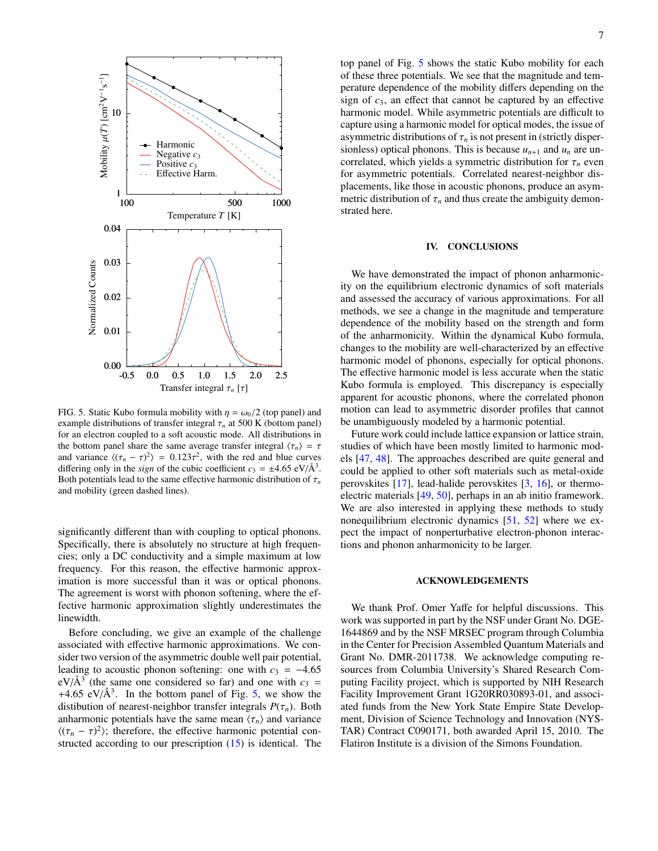

<span id="page-6-0"></span>FIG. 5. Static Kubo formula mobility with  $\eta = \omega_0/2$  (top panel) and example distributions of transfer integral  $\tau_n$  at 500 K (bottom panel) for an electron coupled to a soft acoustic mode. All distributions in the bottom panel share the same average transfer integral  $\langle \tau_n \rangle = \tau$ and variance  $\langle (\tau_n - \tau)^2 \rangle = 0.123\tau^2$ , with the red and blue curves differing only in the *sign* of the cubic coefficient  $c_3 = \pm 4.65 \text{ eV/A}^3$ . Both potentials lead to the same effective harmonic distribution of  $\tau_n$ and mobility (green dashed lines).

significantly different than with coupling to optical phonons. Specifically, there is absolutely no structure at high frequencies; only a DC conductivity and a simple maximum at low frequency. For this reason, the effective harmonic approximation is more successful than it was or optical phonons. The agreement is worst with phonon softening, where the effective harmonic approximation slightly underestimates the linewidth.

Before concluding, we give an example of the challenge associated with effective harmonic approximations. We consider two version of the asymmetric double well pair potential, leading to acoustic phonon softening: one with  $c_3 = -4.65$  $eV/A<sup>3</sup>$  (the same one considered so far) and one with  $c_3 =$ +4.65 eV/ $\AA$ <sup>3</sup>. In the bottom panel of Fig. [5,](#page-6-0) we show the distibution of nearest-neighbor transfer integrals  $P(\tau_n)$ . Both anharmonic potentials have the same mean  $\langle \tau_n \rangle$  and variance  $\langle (\tau_n - \tau)^2 \rangle$ ; therefore, the effective harmonic potential constructed according to our prescription [\(15\)](#page-2-1) is identical. The

top panel of Fig. [5](#page-6-0) shows the static Kubo mobility for each of these three potentials. We see that the magnitude and temperature dependence of the mobility differs depending on the sign of *c*3, an effect that cannot be captured by an effective harmonic model. While asymmetric potentials are difficult to capture using a harmonic model for optical modes, the issue of asymmetric distributions of  $\tau_n$  is not present in (strictly dispersionless) optical phonons. This is because  $u_{n+1}$  and  $u_n$  are uncorrelated, which yields a symmetric distribution for  $\tau_n$  even for asymmetric potentials. Correlated nearest-neighbor displacements, like those in acoustic phonons, produce an asymmetric distribution of  $\tau_n$  and thus create the ambiguity demonstrated here.

# IV. CONCLUSIONS

We have demonstrated the impact of phonon anharmonicity on the equilibrium electronic dynamics of soft materials and assessed the accuracy of various approximations. For all methods, we see a change in the magnitude and temperature dependence of the mobility based on the strength and form of the anharmonicity. Within the dynamical Kubo formula, changes to the mobility are well-characterized by an effective harmonic model of phonons, especially for optical phonons. The effective harmonic model is less accurate when the static Kubo formula is employed. This discrepancy is especially apparent for acoustic phonons, where the correlated phonon motion can lead to asymmetric disorder profiles that cannot be unambiguously modeled by a harmonic potential.

Future work could include lattice expansion or lattice strain, studies of which have been mostly limited to harmonic models [\[47,](#page-8-6) [48\]](#page-8-7). The approaches described are quite general and could be applied to other soft materials such as metal-oxide perovskites [\[17\]](#page-7-10), lead-halide perovskites [\[3,](#page-7-8) [16\]](#page-7-9), or thermoelectric materials [\[49,](#page-8-8) [50\]](#page-8-9), perhaps in an ab initio framework. We are also interested in applying these methods to study nonequilibrium electronic dynamics [\[51,](#page-8-10) [52\]](#page-8-11) where we expect the impact of nonperturbative electron-phonon interactions and phonon anharmonicity to be larger.

#### ACKNOWLEDGEMENTS

We thank Prof. Omer Yaffe for helpful discussions. This work was supported in part by the NSF under Grant No. DGE-1644869 and by the NSF MRSEC program through Columbia in the Center for Precision Assembled Quantum Materials and Grant No. DMR-2011738. We acknowledge computing resources from Columbia University's Shared Research Computing Facility project, which is supported by NIH Research Facility Improvement Grant 1G20RR030893-01, and associated funds from the New York State Empire State Development, Division of Science Technology and Innovation (NYS-TAR) Contract C090171, both awarded April 15, 2010. The Flatiron Institute is a division of the Simons Foundation.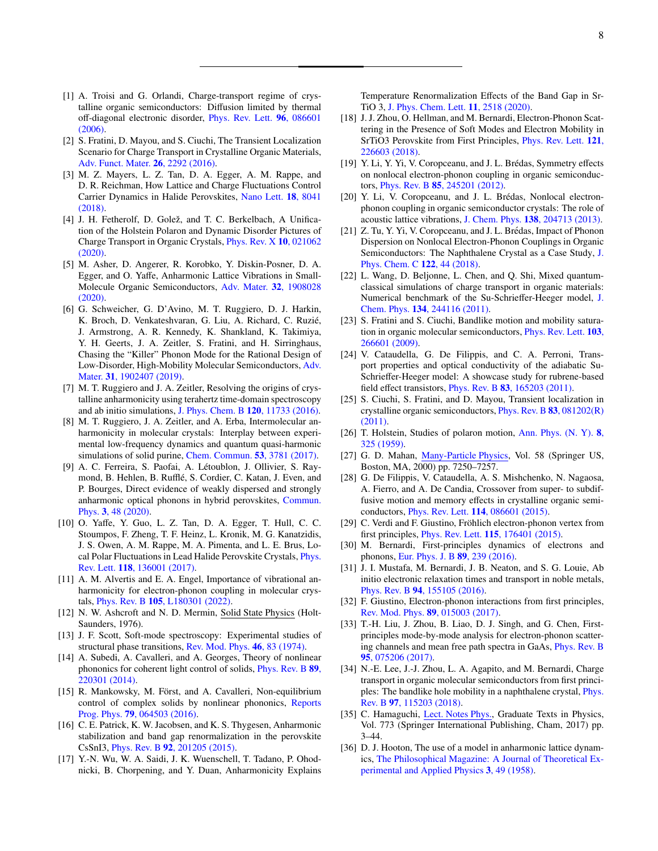- <span id="page-7-18"></span><span id="page-7-0"></span>[2] S. Fratini, D. Mayou, and S. Ciuchi, The Transient Localization Scenario for Charge Transport in Crystalline Organic Materials, [Adv. Funct. Mater.](https://doi.org/10.1002/adfm.201502386) 26, 2292 (2016).
- <span id="page-7-8"></span>[3] M. Z. Mayers, L. Z. Tan, D. A. Egger, A. M. Rappe, and D. R. Reichman, How Lattice and Charge Fluctuations Control Carrier Dynamics in Halide Perovskites, [Nano Lett.](https://doi.org/10.1021/acs.nanolett.8b04276) 18, 8041 [\(2018\).](https://doi.org/10.1021/acs.nanolett.8b04276)
- <span id="page-7-1"></span>[4] J. H. Fetherolf, D. Golež, and T. C. Berkelbach, A Unification of the Holstein Polaron and Dynamic Disorder Pictures of Charge Transport in Organic Crystals, [Phys. Rev. X](https://doi.org/10.1103/PhysRevX.10.021062) 10, 021062 [\(2020\).](https://doi.org/10.1103/PhysRevX.10.021062)
- <span id="page-7-2"></span>[5] M. Asher, D. Angerer, R. Korobko, Y. Diskin-Posner, D. A. Egger, and O. Yaffe, Anharmonic Lattice Vibrations in Small-Molecule Organic Semiconductors, [Adv. Mater.](https://doi.org/10.1002/adma.201908028) 32, 1908028 [\(2020\).](https://doi.org/10.1002/adma.201908028)
- <span id="page-7-29"></span>[6] G. Schweicher, G. D'Avino, M. T. Ruggiero, D. J. Harkin, K. Broch, D. Venkateshvaran, G. Liu, A. Richard, C. Ruzie,´ J. Armstrong, A. R. Kennedy, K. Shankland, K. Takimiya, Y. H. Geerts, J. A. Zeitler, S. Fratini, and H. Sirringhaus, Chasing the "Killer" Phonon Mode for the Rational Design of Low-Disorder, High-Mobility Molecular Semiconductors, [Adv.](https://doi.org/10.1002/adma.201902407) Mater. 31[, 1902407 \(2019\).](https://doi.org/10.1002/adma.201902407)
- [7] M. T. Ruggiero and J. A. Zeitler, Resolving the origins of crystalline anharmonicity using terahertz time-domain spectroscopy and ab initio simulations, [J. Phys. Chem. B](https://doi.org/10.1021/acs.jpcb.6b10248) 120, 11733 (2016).
- [8] M. T. Ruggiero, J. A. Zeitler, and A. Erba, Intermolecular anharmonicity in molecular crystals: Interplay between experimental low-frequency dynamics and quantum quasi-harmonic simulations of solid purine, [Chem. Commun.](https://doi.org/10.1039/c7cc00509a) 53, 3781 (2017).
- [9] A. C. Ferreira, S. Paofai, A. Létoublon, J. Ollivier, S. Raymond, B. Hehlen, B. Rufflé, S. Cordier, C. Katan, J. Even, and P. Bourges, Direct evidence of weakly dispersed and strongly anharmonic optical phonons in hybrid perovskites, [Commun.](https://doi.org/10.1038/s42005-020-0313-7) Phys. 3[, 48 \(2020\).](https://doi.org/10.1038/s42005-020-0313-7)
- [10] O. Yaffe, Y. Guo, L. Z. Tan, D. A. Egger, T. Hull, C. C. Stoumpos, F. Zheng, T. F. Heinz, L. Kronik, M. G. Kanatzidis, J. S. Owen, A. M. Rappe, M. A. Pimenta, and L. E. Brus, Local Polar Fluctuations in Lead Halide Perovskite Crystals, [Phys.](https://doi.org/10.1103/PhysRevLett.118.136001) Rev. Lett. 118[, 136001 \(2017\).](https://doi.org/10.1103/PhysRevLett.118.136001)
- <span id="page-7-3"></span>[11] A. M. Alvertis and E. A. Engel, Importance of vibrational anharmonicity for electron-phonon coupling in molecular crystals, Phys. Rev. B 105[, L180301 \(2022\).](https://doi.org/10.1103/PhysRevB.105.L180301)
- <span id="page-7-4"></span>[12] N. W. Ashcroft and N. D. Mermin, Solid State Physics (Holt-Saunders, 1976).
- <span id="page-7-5"></span>[13] J. F. Scott, Soft-mode spectroscopy: Experimental studies of structural phase transitions, [Rev. Mod. Phys.](https://doi.org/10.1103/RevModPhys.46.83) 46, 83 (1974).
- <span id="page-7-6"></span>[14] A. Subedi, A. Cavalleri, and A. Georges, Theory of nonlinear phononics for coherent light control of solids, [Phys. Rev. B](https://doi.org/10.1103/PhysRevB.89.220301) 89, [220301 \(2014\).](https://doi.org/10.1103/PhysRevB.89.220301)
- <span id="page-7-7"></span>[15] R. Mankowsky, M. Först, and A. Cavalleri, Non-equilibrium control of complex solids by nonlinear phononics, [Reports](https://doi.org/10.1088/0034-4885/79/6/064503) Prog. Phys. 79[, 064503 \(2016\).](https://doi.org/10.1088/0034-4885/79/6/064503)
- <span id="page-7-9"></span>[16] C. E. Patrick, K. W. Jacobsen, and K. S. Thygesen, Anharmonic stabilization and band gap renormalization in the perovskite CsSnI3, Phys. Rev. B 92[, 201205 \(2015\).](https://doi.org/10.1103/PhysRevB.92.201205)
- <span id="page-7-10"></span>[17] Y.-N. Wu, W. A. Saidi, J. K. Wuenschell, T. Tadano, P. Ohodnicki, B. Chorpening, and Y. Duan, Anharmonicity Explains

Temperature Renormalization Effects of the Band Gap in Sr-TiO 3, [J. Phys. Chem. Lett.](https://doi.org/10.1021/acs.jpclett.0c00183) 11, 2518 (2020).

- <span id="page-7-11"></span>[18] J. J. Zhou, O. Hellman, and M. Bernardi, Electron-Phonon Scattering in the Presence of Soft Modes and Electron Mobility in SrTiO3 Perovskite from First Principles, [Phys. Rev. Lett.](https://doi.org/10.1103/PhysRevLett.121.226603) 121, [226603 \(2018\).](https://doi.org/10.1103/PhysRevLett.121.226603)
- <span id="page-7-12"></span>[19] Y. Li, Y. Yi, V. Coropceanu, and J. L. Brédas, Symmetry effects on nonlocal electron-phonon coupling in organic semiconductors, Phys. Rev. B 85[, 245201 \(2012\).](https://doi.org/10.1103/PhysRevB.85.245201)
- <span id="page-7-15"></span>[20] Y. Li, V. Coropceanu, and J. L. Brédas, Nonlocal electronphonon coupling in organic semiconductor crystals: The role of acoustic lattice vibrations, J. Chem. Phys. 138[, 204713 \(2013\).](https://doi.org/10.1063/1.4807886)
- <span id="page-7-13"></span>[21] Z. Tu, Y. Yi, V. Coropceanu, and J. L. Brédas, Impact of Phonon Dispersion on Nonlocal Electron-Phonon Couplings in Organic Semiconductors: The Naphthalene Crystal as a Case Study, [J.](https://doi.org/10.1021/acs.jpcc.7b08554) [Phys. Chem. C](https://doi.org/10.1021/acs.jpcc.7b08554) 122, 44 (2018).
- <span id="page-7-14"></span>[22] L. Wang, D. Beljonne, L. Chen, and Q. Shi, Mixed quantumclassical simulations of charge transport in organic materials: Numerical benchmark of the Su-Schrieffer-Heeger model, [J.](https://doi.org/10.1063/1.3604561) Chem. Phys. 134[, 244116 \(2011\).](https://doi.org/10.1063/1.3604561)
- <span id="page-7-16"></span>[23] S. Fratini and S. Ciuchi, Bandlike motion and mobility saturation in organic molecular semiconductors, [Phys. Rev. Lett.](https://doi.org/10.1103/PhysRevLett.103.266601) 103, [266601 \(2009\).](https://doi.org/10.1103/PhysRevLett.103.266601)
- <span id="page-7-17"></span>[24] V. Cataudella, G. De Filippis, and C. A. Perroni, Transport properties and optical conductivity of the adiabatic Su-Schrieffer-Heeger model: A showcase study for rubrene-based field effect transistors, Phys. Rev. B 83[, 165203 \(2011\).](https://doi.org/10.1103/PhysRevB.83.165203)
- <span id="page-7-19"></span>[25] S. Ciuchi, S. Fratini, and D. Mayou, Transient localization in crystalline organic semiconductors, [Phys. Rev. B](https://doi.org/10.1103/PhysRevB.83.081202) 83, 081202(R) [\(2011\).](https://doi.org/10.1103/PhysRevB.83.081202)
- <span id="page-7-20"></span>[26] T. Holstein, Studies of polaron motion, [Ann. Phys. \(N. Y\).](https://doi.org/10.1016/0003-4916(59)90002-8) **8**, [325 \(1959\).](https://doi.org/10.1016/0003-4916(59)90002-8)
- <span id="page-7-21"></span>[27] G. D. Mahan, [Many-Particle Physics,](https://doi.org/10.1007/978-1-4757-5714-9) Vol. 58 (Springer US, Boston, MA, 2000) pp. 7250–7257.
- <span id="page-7-22"></span>[28] G. De Filippis, V. Cataudella, A. S. Mishchenko, N. Nagaosa, A. Fierro, and A. De Candia, Crossover from super- to subdiffusive motion and memory effects in crystalline organic semiconductors, Phys. Rev. Lett. 114[, 086601 \(2015\).](https://doi.org/10.1103/PhysRevLett.114.086601)
- <span id="page-7-23"></span>[29] C. Verdi and F. Giustino, Fröhlich electron-phonon vertex from first principles, Phys. Rev. Lett. 115[, 176401 \(2015\).](https://doi.org/10.1103/physrevlett.115.176401)
- <span id="page-7-26"></span>[30] M. Bernardi, First-principles dynamics of electrons and phonons, [Eur. Phys. J. B](https://doi.org/10.1140/epjb/e2016-70399-4) 89, 239 (2016).
- [31] J. I. Mustafa, M. Bernardi, J. B. Neaton, and S. G. Louie, Ab initio electronic relaxation times and transport in noble metals, Phys. Rev. B 94[, 155105 \(2016\).](https://doi.org/10.1103/physrevb.94.155105)
- [32] F. Giustino, Electron-phonon interactions from first principles, [Rev. Mod. Phys.](https://doi.org/10.1103/RevModPhys.89.015003) 89, 015003 (2017).
- <span id="page-7-24"></span>[33] T.-H. Liu, J. Zhou, B. Liao, D. J. Singh, and G. Chen, Firstprinciples mode-by-mode analysis for electron-phonon scattering channels and mean free path spectra in GaAs, [Phys. Rev. B](https://doi.org/10.1103/physrevb.95.075206) 95[, 075206 \(2017\).](https://doi.org/10.1103/physrevb.95.075206)
- <span id="page-7-25"></span>[34] N.-E. Lee, J.-J. Zhou, L. A. Agapito, and M. Bernardi, Charge transport in organic molecular semiconductors from first principles: The bandlike hole mobility in a naphthalene crystal, [Phys.](https://doi.org/10.1103/physrevb.97.115203) Rev. B 97[, 115203 \(2018\).](https://doi.org/10.1103/physrevb.97.115203)
- <span id="page-7-27"></span>[35] C. Hamaguchi, [Lect. Notes Phys.,](https://doi.org/10.1007/978-3-319-66860-4) Graduate Texts in Physics, Vol. 773 (Springer International Publishing, Cham, 2017) pp. 3–44.
- <span id="page-7-28"></span>[36] D. J. Hooton, The use of a model in anharmonic lattice dynamics, [The Philosophical Magazine: A Journal of Theoretical Ex](https://doi.org/10.1080/14786435808243224)[perimental and Applied Physics](https://doi.org/10.1080/14786435808243224) 3, 49 (1958).